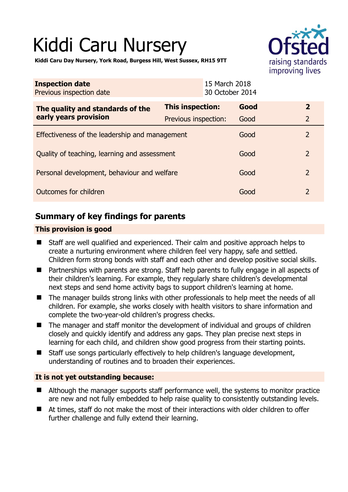# Kiddi Caru Nursery



**Kiddi Caru Day Nursery, York Road, Burgess Hill, West Sussex, RH15 9TT** 

| <b>Inspection date</b><br>Previous inspection date        | 15 March 2018        | 30 October 2014 |                |
|-----------------------------------------------------------|----------------------|-----------------|----------------|
| The quality and standards of the<br>early years provision | This inspection:     | Good            | $\overline{2}$ |
|                                                           | Previous inspection: | Good            | $\overline{2}$ |
| Effectiveness of the leadership and management            |                      | Good            | 2              |
| Quality of teaching, learning and assessment              |                      | Good            | $\overline{2}$ |
| Personal development, behaviour and welfare               |                      | Good            | $\overline{2}$ |
| Outcomes for children                                     |                      | Good            | 2              |

# **Summary of key findings for parents**

## **This provision is good**

- Staff are well qualified and experienced. Their calm and positive approach helps to create a nurturing environment where children feel very happy, safe and settled. Children form strong bonds with staff and each other and develop positive social skills.
- Partnerships with parents are strong. Staff help parents to fully engage in all aspects of their children's learning. For example, they regularly share children's developmental next steps and send home activity bags to support children's learning at home.
- The manager builds strong links with other professionals to help meet the needs of all children. For example, she works closely with health visitors to share information and complete the two-year-old children's progress checks.
- The manager and staff monitor the development of individual and groups of children closely and quickly identify and address any gaps. They plan precise next steps in learning for each child, and children show good progress from their starting points.
- Staff use songs particularly effectively to help children's language development, understanding of routines and to broaden their experiences.

## **It is not yet outstanding because:**

- Although the manager supports staff performance well, the systems to monitor practice are new and not fully embedded to help raise quality to consistently outstanding levels.
- At times, staff do not make the most of their interactions with older children to offer further challenge and fully extend their learning.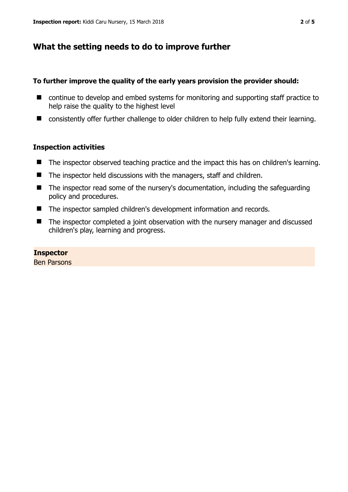# **What the setting needs to do to improve further**

### **To further improve the quality of the early years provision the provider should:**

- continue to develop and embed systems for monitoring and supporting staff practice to help raise the quality to the highest level
- consistently offer further challenge to older children to help fully extend their learning.

## **Inspection activities**

- The inspector observed teaching practice and the impact this has on children's learning.
- $\blacksquare$  The inspector held discussions with the managers, staff and children.
- The inspector read some of the nursery's documentation, including the safeguarding policy and procedures.
- The inspector sampled children's development information and records.
- The inspector completed a joint observation with the nursery manager and discussed children's play, learning and progress.

#### **Inspector**

Ben Parsons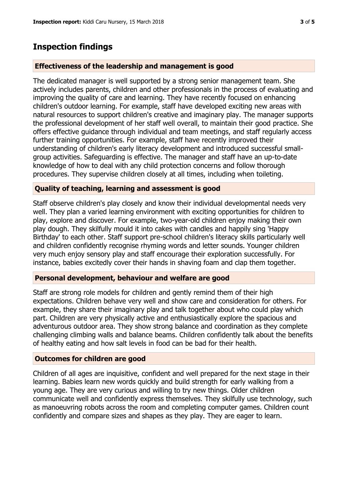## **Inspection findings**

#### **Effectiveness of the leadership and management is good**

The dedicated manager is well supported by a strong senior management team. She actively includes parents, children and other professionals in the process of evaluating and improving the quality of care and learning. They have recently focused on enhancing children's outdoor learning. For example, staff have developed exciting new areas with natural resources to support children's creative and imaginary play. The manager supports the professional development of her staff well overall, to maintain their good practice. She offers effective guidance through individual and team meetings, and staff regularly access further training opportunities. For example, staff have recently improved their understanding of children's early literacy development and introduced successful smallgroup activities. Safeguarding is effective. The manager and staff have an up-to-date knowledge of how to deal with any child protection concerns and follow thorough procedures. They supervise children closely at all times, including when toileting.

#### **Quality of teaching, learning and assessment is good**

Staff observe children's play closely and know their individual developmental needs very well. They plan a varied learning environment with exciting opportunities for children to play, explore and discover. For example, two-year-old children enjoy making their own play dough. They skilfully mould it into cakes with candles and happily sing 'Happy Birthday' to each other. Staff support pre-school children's literacy skills particularly well and children confidently recognise rhyming words and letter sounds. Younger children very much enjoy sensory play and staff encourage their exploration successfully. For instance, babies excitedly cover their hands in shaving foam and clap them together.

#### **Personal development, behaviour and welfare are good**

Staff are strong role models for children and gently remind them of their high expectations. Children behave very well and show care and consideration for others. For example, they share their imaginary play and talk together about who could play which part. Children are very physically active and enthusiastically explore the spacious and adventurous outdoor area. They show strong balance and coordination as they complete challenging climbing walls and balance beams. Children confidently talk about the benefits of healthy eating and how salt levels in food can be bad for their health.

#### **Outcomes for children are good**

Children of all ages are inquisitive, confident and well prepared for the next stage in their learning. Babies learn new words quickly and build strength for early walking from a young age. They are very curious and willing to try new things. Older children communicate well and confidently express themselves. They skilfully use technology, such as manoeuvring robots across the room and completing computer games. Children count confidently and compare sizes and shapes as they play. They are eager to learn.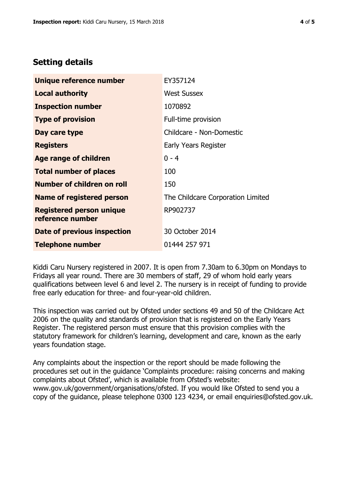# **Setting details**

| Unique reference number                             | EY357124                          |
|-----------------------------------------------------|-----------------------------------|
| <b>Local authority</b>                              | <b>West Sussex</b>                |
| <b>Inspection number</b>                            | 1070892                           |
| <b>Type of provision</b>                            | Full-time provision               |
| Day care type                                       | Childcare - Non-Domestic          |
| <b>Registers</b>                                    | Early Years Register              |
| <b>Age range of children</b>                        | $0 - 4$                           |
| <b>Total number of places</b>                       | 100                               |
| Number of children on roll                          | 150                               |
| Name of registered person                           | The Childcare Corporation Limited |
| <b>Registered person unique</b><br>reference number | RP902737                          |
| Date of previous inspection                         | 30 October 2014                   |
| <b>Telephone number</b>                             | 01444 257 971                     |

Kiddi Caru Nursery registered in 2007. It is open from 7.30am to 6.30pm on Mondays to Fridays all year round. There are 30 members of staff, 29 of whom hold early years qualifications between level 6 and level 2. The nursery is in receipt of funding to provide free early education for three- and four-year-old children.

This inspection was carried out by Ofsted under sections 49 and 50 of the Childcare Act 2006 on the quality and standards of provision that is registered on the Early Years Register. The registered person must ensure that this provision complies with the statutory framework for children's learning, development and care, known as the early years foundation stage.

Any complaints about the inspection or the report should be made following the procedures set out in the guidance 'Complaints procedure: raising concerns and making complaints about Ofsted', which is available from Ofsted's website: www.gov.uk/government/organisations/ofsted. If you would like Ofsted to send you a copy of the guidance, please telephone 0300 123 4234, or email enquiries@ofsted.gov.uk.